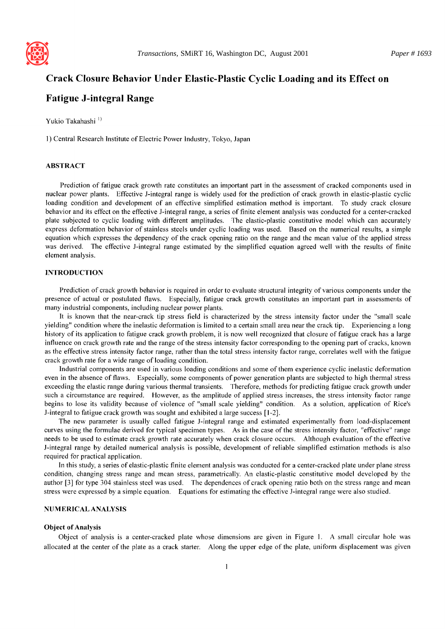

# **Crack Closure Behavior Under Elastic-Plastic Cyclic Loading and its Effect on**

# **Fatigue J-integral Range**

Yukio Takahashi<sup>1)</sup>

l) Central Research Institute of Electric Power Industry, Tokyo, Japan

## ABSTRACT

Prediction of fatigue crack growth rate constitutes an important part in the assessment of cracked components used in nuclear power plants. Effective J-integral range is widely used for the prediction of crack growth in elastic-plastic cyclic loading condition and development of an effective simplified estimation method is important. To study crack closure behavior and its effect on the effective J-integral range, a series of finite element analysis was conducted for a center-cracked plate subjected to cyclic loading with different amplitudes. The elastic-plastic constitutive model which can accurately express deformation behavior of stainless steels under cyclic loading was used. Based on the numerical results, a simple equation which expresses the dependency of the crack opening ratio on the range and the mean value of the applied stress was derived. The effective J-integral range estimated by the simplified equation agreed well with the results of finite element analysis.

# INTRODUCTION

Prediction of crack growth behavior is required in order to evaluate structural integrity of various components under the presence of actual or postulated flaws. Especially, fatigue crack growth constitutes an important part in assessments of many industrial components, including nuclear power plants.

It is known that the near-crack tip stress field is characterized by the stress intensity factor under the "small scale yielding" condition where the inelastic deformation is limited to a certain small area near the crack tip. Experiencing a long history of its application to fatigue crack growth problem, it is now well recognized that closure of fatigue crack has a large influence on crack growth rate and the range of the stress intensity factor corresponding to the opening part of cracks, known as the effective stress intensity factor range, rather than the total stress intensity factor range, correlates well with the fatigue crack growth rate for a wide range of loading condition.

Industrial components are used in various loading conditions and some of them experience cyclic inelastic deformation even in the absence of flaws. Especially, some components of power generation plants are subjected to high thermal stress exceeding the elastic range during various thermal transients. Therefore, methods for predicting fatigue crack growth under such a circumstance are required. However, as the amplitude of applied stress increases, the stress intensity factor range begins to lose its validity because of violence of "small scale yielding" condition. As a solution, application of Rice's J-integral to fatigue crack growth was sought and exhibited a large success [ 1-2].

The new parameter is usually called fatigue J-integral range and estimated experimentally from load-displacement curves using the formulae derived for typical specimen types. As in the case of the stress intensity factor, "effective" range needs to be used to estimate crack growth rate accurately when crack closure occurs. Although evaluation of the effective J-integral range by detailed numerical analysis is possible, development of reliable simplified estimation methods is also required for practical application.

In this study, a series of elastic-plastic finite element analysis was conducted for a center-cracked plate under plane stress condition, changing stress range and mean stress, parametrically. An elastic-plastic constitutive model developed by the author [3] for type 304 stainless steel was used. The dependences of crack opening ratio both on the stress range and mean stress were expressed by a simple equation. Equations for estimating the effective J-integral range were also studied.

### NUMERICAL ANALYSIS

### **Object of Analysis**

Object of analysis is a center-cracked plate whose dimensions are given in Figure 1. A small circular hole was allocated at the center of the plate as a crack starter. Along the upper edge of the plate, uniform displacement was given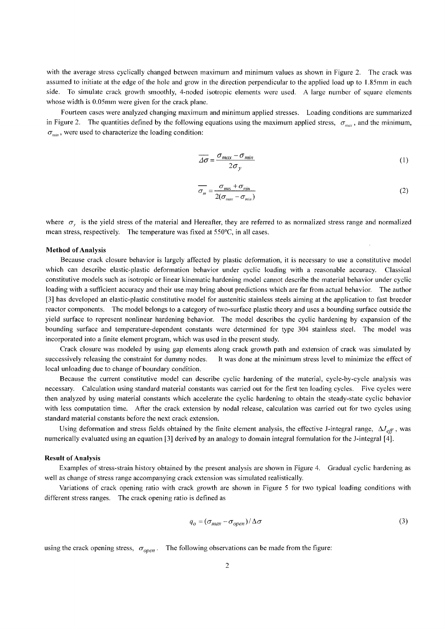with the average stress cyclically changed between maximum and minimum values as shown in Figure 2. The crack was assumed to initiate at the edge of the hole and grow in the direction perpendicular to the applied load up to 1.85mm in each side. To simulate crack growth smoothly, 4-noded isotropic elements were used. A large number of square elements whose width is 0.05mm were given for the crack plane.

Fourteen cases were analyzed changing maximum and minimum applied stresses. Loading conditions are summarized in Figure 2. The quantities defined by the following equations using the maximum applied stress,  $\sigma_{max}$ , and the minimum,  $\sigma_{\text{min}}$ , were used to characterize the loading condition:

$$
\overline{\Delta \sigma} = \frac{\sigma_{max} - \sigma_{min}}{2\sigma_y} \tag{1}
$$

$$
\overline{\sigma_m} = \frac{\sigma_{\text{max}} + \sigma_{\text{min}}}{2(\sigma_{\text{max}} - \sigma_{\text{min}})}
$$
(2)

where  $\sigma_r$  is the yield stress of the material and Hereafter, they are referred to as normalized stress range and normalized mean stress, respectively. The temperature was fixed at 550°C, in all cases.

#### **Method of Analysis**

Because crack closure behavior is largely affected by plastic deformation, it is necessary to use a constitutive model which can describe elastic-plastic deformation behavior under cyclic loading with a reasonable accuracy. Classical constitutive models such as isotropic or linear kinematic hardening model cannot describe the material behavior under cyclic loading with a sufficient accuracy and their use may bring about predictions which are far from actual behavior. The author [3] has developed an elastic-plastic constitutive model for austenitic stainless steels aiming at the application to fast breeder reactor components. The model belongs to a category of two-surface plastic theory and uses a bounding surface outside the yield surface to represent nonlinear hardening behavior. The model describes the cyclic hardening by expansion of the bounding surface and temperature-dependent constants were determined for type 304 stainless steel. The model was incorporated into a finite element program, which was used in the present study.

Crack closure was modeled by using gap elements along crack growth path and extension of crack was simulated by successively releasing the constraint for dummy nodes. It was done at the minimum stress level to minimize the effect of local unloading due to change of boundary condition.

Because the current constitutive model can describe cyclic hardening of the material, cycle-by-cycle analysis was necessary. Calculation using standard material constants was carried out for the first ten loading cycles. Five cycles were then analyzed by using material constants which accelerate the cyclic hardening to obtain the steady-state cyclic behavior with less computation time. After the crack extension by nodal release, calculation was carried out for two cycles using standard material constants before the next crack extension.

Using deformation and stress fields obtained by the finite element analysis, the effective J-integral range,  $\Delta J_{eff}$ , was numerically evaluated using an equation [3] derived by an analogy to domain integral formulation for the J-integral [4].

## **Result of Analysis**

Examples of stress-strain history obtained by the present analysis are shown in Figure 4. Gradual cyclic hardening as well as change of stress range accompanying crack extension was simulated realistically.

Variations of crack opening ratio with crack growth are shown in Figure 5 for two typical loading conditions with different stress ranges. The crack opening ratio is defined as

$$
q_o = (\sigma_{max} - \sigma_{open}) / \Delta \sigma \tag{3}
$$

using the crack opening stress,  $\sigma_{open}$ . The following observations can be made from the figure: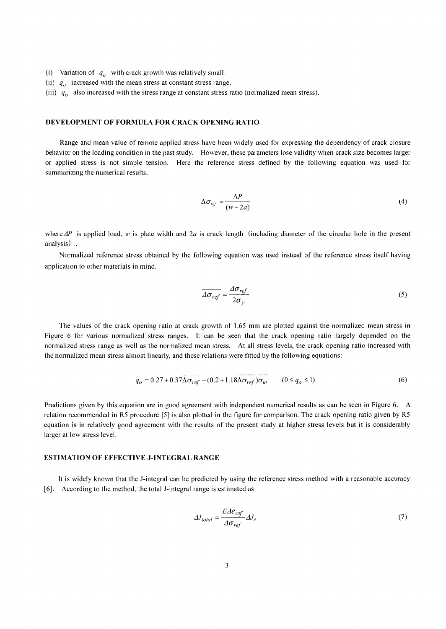- (i) Variation of  $q_0$  with crack growth was relatively small.
- (ii)  $q_0$  increased with the mean stress at constant stress range.
- (iii)  $q<sub>o</sub>$  also increased with the stress range at constant stress ratio (normalized mean stress).

# **DEVELOPMENT OF FORMULA FOR CRACK OPENING RATIO**

Range and mean value of remote applied stress have been widely used for expressing the dependency of crack closure behavior on the loading condition in the past study. However, these parameters lose validity when crack size becomes larger or applied stress is not simple tension. Here the reference stress defined by the following equation was used for summarizing the numerical results.

$$
\Delta \sigma_{\text{ref}} = \frac{\Delta P}{(w - 2a)}\tag{4}
$$

where  $\Delta P$  is applied load, w is plate width and  $2a$  is crack length (including diameter of the circular hole in the present analysis) .

Normalized reference stress obtained by the following equation was used instead of the reference stress itself having application to other materials in mind.

$$
\overline{\Delta \sigma_{ref}} = \frac{\Delta \sigma_{ref}}{2\sigma_y} \tag{5}
$$

The values of the crack opening ratio at crack growth of 1.65 mm are plotted against the normalized mean stress in Figure 6 for various normalized stress ranges. It can be seen that the crack opening ratio largely depended on the normalized stress range as well as the normalized mean stress. At all stress levels, the crack opening ratio increased with the normalized mean stress almost linearly, and these relations were fitted by the following equations:

$$
q_o = 0.27 + 0.37 \Delta \sigma_{ref} + (0.2 + 1.18 \Delta \sigma_{ref}) \sigma_m \qquad (0 \le q_o \le 1)
$$
 (6)

Predictions given by this equation are in good agreement with independent numerical results as can be seen in Figure 6. A relation recommended in R5 procedure [5] is also plotted in the figure for comparison. The crack opening ratio given by R5 equation is in relatively good agreement with the results of the present study at higher stress levels but it is considerably larger at low stress level.

## ESTIMATION OF EFFECTIVE J-INTEGRAL RANGE

[6]. According to the method, the total J-integral range is estimated as It is widely known that the J-integral can be predicted by using the reference stress method with a reasonable accuracy

$$
\Delta J_{total} = \frac{E \Delta \varepsilon_{ref}}{\Delta \sigma_{ref}} \Delta J_e \tag{7}
$$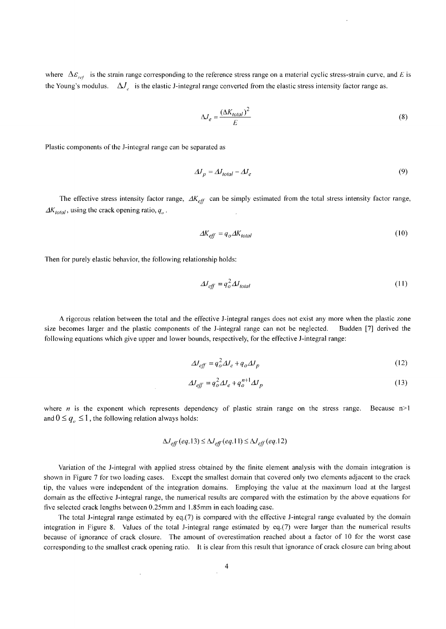where  $\Delta \mathcal{E}_{ref}$  is the strain range corresponding to the reference stress range on a material cyclic stress-strain curve, and E is the Young's modulus.  $\Delta J$  is the elastic J-integral range converted from the elastic stress intensity factor range as.

$$
\Delta J_e = \frac{(\Delta K_{total})^2}{E} \tag{8}
$$

Plastic components of the J-integral range can be separated as

$$
\Delta J_p = \Delta J_{total} - \Delta J_e \tag{9}
$$

The effective stress intensity factor range,  $AK_{\text{eff}}$  can be simply estimated from the total stress intensity factor range,  $\Delta K_{total}$ , using the crack opening ratio,  $q_o$ .

$$
\Delta K_{\text{eff}} = q_o \Delta K_{\text{total}} \tag{10}
$$

Then for purely elastic behavior, the following relationship holds:

 $\overline{\phantom{a}}$ 

$$
\Delta l_{\text{eff}} = q_o^2 \Delta l_{\text{total}} \tag{11}
$$

A rigorous relation between the total and the effective J-integral ranges does not exist any more when the plastic zone size becomes larger and the plastic components of the J-integral range can not be neglected. Budden [7] derived the following equations which give upper and lower bounds, respectively, for the effective J-integral range:

$$
\Delta J_{eff} = q_o^2 \Delta J_e + q_o \Delta J_p \tag{12}
$$

$$
\Delta J_{eff} = q_o^2 \Delta J_e + q_o^{n+1} \Delta J_p \tag{13}
$$

where *n* is the exponent which represents dependency of plastic strain range on the stress range. Because  $n>1$ and  $0 \leq q_{\rho} \leq 1$ , the following relation always holds:

$$
\Delta J_{eff}(eq.13) \le \Delta J_{eff}(eq.11) \le \Delta J_{eff}(eq.12)
$$

Variation of the J-integral with applied stress obtained by the finite element analysis with the domain integration is shown in Figure 7 for two loading cases. Except the smallest domain that covered only two elements adjacent to the crack tip, the values were independent of the integration domains. Employing the value at the maximum load at the largest domain as the effective J-integral range, the numerical results are compared with the estimation by the above equations for five selected crack lengths between 0.25mm and 1.85mm in each loading case.

The total J-integral range estimated by eq.(7) is compared with the effective J-integral range evaluated by the domain integration in Figure 8. Values of the total J-integral range estimated by eq.(7) were larger than the numerical results because of ignorance of crack closure. The amount of overestimation reached about a factor of 10 for the worst case corresponding to the smallest crack opening ratio. It is clear from this result that ignorance of crack closure can bring about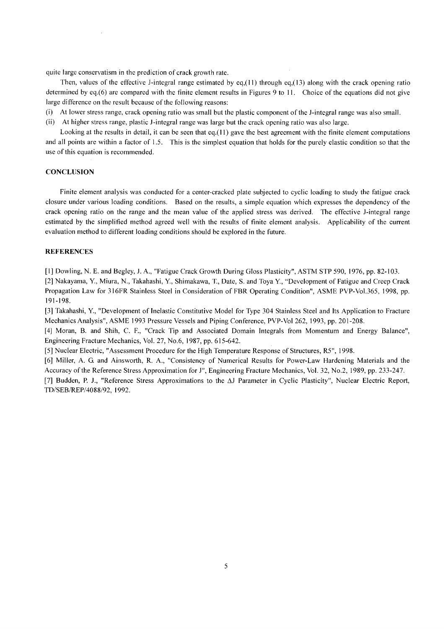quite large conservatism in the prediction of crack growth rate.

Then, values of the effective J-integral range estimated by eq.(11) through eq.(13) along with the crack opening ratio determined by eq.(6) are compared with the finite element results in Figures 9 to 11. Choice of the equations did not give large difference on the result because of the following reasons:

- (i) At lower stress range, crack opening ratio was small but the plastic component of the J-integral range was also small.
- (ii) At higher stress range, plastic J-integral range was large but the crack opening ratio was also large.

Looking at the results in detail, it can be seen that eq.(11) gave the best agreement with the finite element computations and all points are within a factor of 1.5. This is the simplest equation that holds for the purely elastic condition so that the use of this equation is recommended.

# **CONCLUSION**

Finite element analysis was conducted for a center-cracked plate subjected to cyclic loading to study the fatigue crack closure under various loading conditions. Based on the results, a simple equation which expresses the dependency of the crack opening ratio on the range and the mean value of the applied stress was derived. The effective J-integral range estimated by the simplified method agreed well with the results of finite element analysis. Applicability of the current evaluation method to different loading conditions should be explored in the future.

# **REFERENCES**

[1] Dowling, N. E. and Begley, J. A., "Fatigue Crack Growth During Gloss Plasticity", ASTM STP 590, 1976, pp. 82-103.

[2] Nakayama, Y., Miura, N., Takahashi, Y., Shimakawa, T., Date, S. and Toya Y., "Development of Fatigue and Creep Crack Propagation Law for 316FR Stainless Steel in Consideration of FBR Operating Condition", ASME PVP-Vol.365, 1998, pp. 191-198.

[3] Takahashi, Y., "Development of Inelastic Constitutive Model for Type 304 Stainless Steel and Its Application to Fracture Mechanics Analysis", ASME 1993 Pressure Vessels and Piping Conference, PVP-Vol 262, 1993, pp. 201-208.

[4] Moran, B. and Shih, C. F., "Crack Tip and Associated Domain Integrals from Momentum and Energy Balance", Engineering Fracture Mechanics, Vol. 27, No.6, 1987, pp. 615-642.

[5] Nuclear Electric, "Assessment Procedure for the High Temperature Response of Structures, R5", 1998.

[6] Miller, A. G. and Ainsworth, R. A., "Consistency of Numerical Results for Power-Law Hardening Materials and the Accuracy of the Reference Stress Approximation for J", Engineering Fracture Mechanics, Vol. 32, No.2, 1989, pp. 233-247.

[7] Budden, P. J., "Reference Stress Approximations to the AJ Parameter in Cyclic Plasticity", Nuclear Electric Report, *TD/SEB/REP/4088/92,* 1992.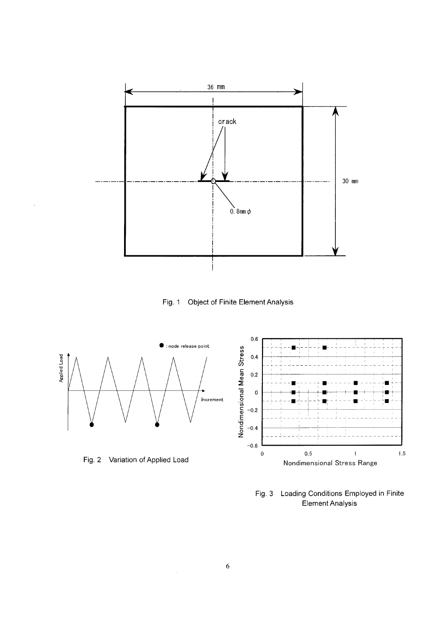

Object of Finite Element Analysis Fig. 1



Fig.  $3$ Loading Conditions Employed in Finite Element Analysis

 $\bar{z}$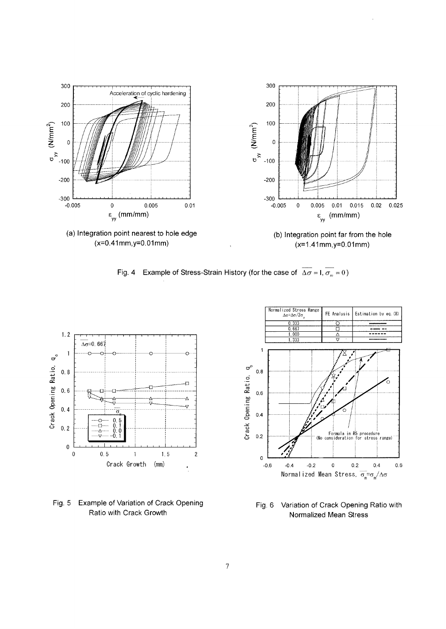

Fig. 4 Example of Stress-Strain History (for the case of  $\overline{\Delta \sigma} = 1, \overline{\sigma_m} = 0$ )



**Fig. 5** Example of Variation of Crack Opening Ratio with Crack Growth



**Fig. 6** Variation of Crack Opening Ratio with Normalized Mean Stress